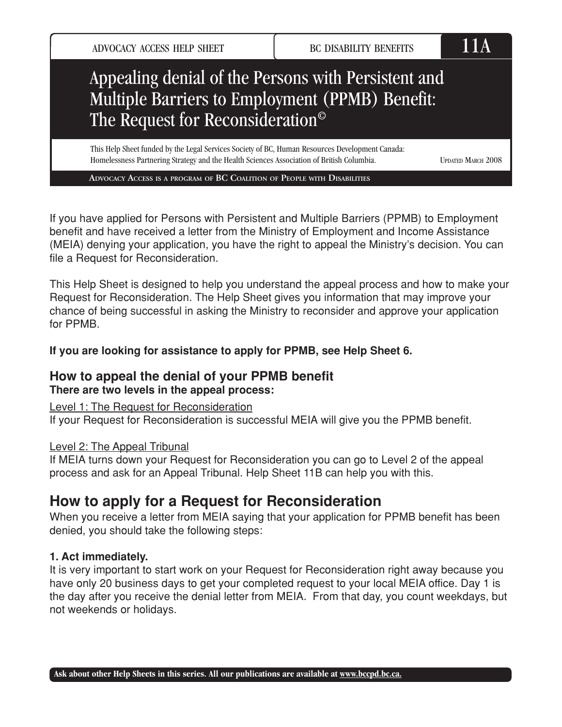ADVOCACY ACCESS HELP SHEET BC DISABILITY BENEFITS

# Appealing denial of the Persons with Persistent and Multiple Barriers to Employment (PPMB) Benefit: The Request for Reconsideration©

This Help Sheet funded by the Legal Services Society of BC, Human Resources Development Canada: Homelessness Partnering Strategy and the Health Sciences Association of British Columbia.

UPDATED MARCH 2008

**ADVOCACY ACCESS IS <sup>A</sup> PROGRAM OF BC COALITION OF PEOPLE WITH DISABILITIES**

If you have applied for Persons with Persistent and Multiple Barriers (PPMB) to Employment benefit and have received a letter from the Ministry of Employment and Income Assistance (MEIA) denying your application, you have the right to appeal the Ministry's decision. You can file a Request for Reconsideration.

This Help Sheet is designed to help you understand the appeal process and how to make your Request for Reconsideration. The Help Sheet gives you information that may improve your chance of being successful in asking the Ministry to reconsider and approve your application for PPMB.

**If you are looking for assistance to apply for PPMB, see Help Sheet 6.**

## **How to appeal the denial of your PPMB benefit There are two levels in the appeal process:**

Level 1: The Request for Reconsideration

If your Request for Reconsideration is successful MEIA will give you the PPMB benefit.

#### Level 2: The Appeal Tribunal

If MEIA turns down your Request for Reconsideration you can go to Level 2 of the appeal process and ask for an Appeal Tribunal. Help Sheet 11B can help you with this.

# **How to apply for a Request for Reconsideration**

When you receive a letter from MEIA saying that your application for PPMB benefit has been denied, you should take the following steps:

### **1. Act immediately.**

It is very important to start work on your Request for Reconsideration right away because you have only 20 business days to get your completed request to your local MEIA office. Day 1 is the day after you receive the denial letter from MEIA. From that day, you count weekdays, but not weekends or holidays.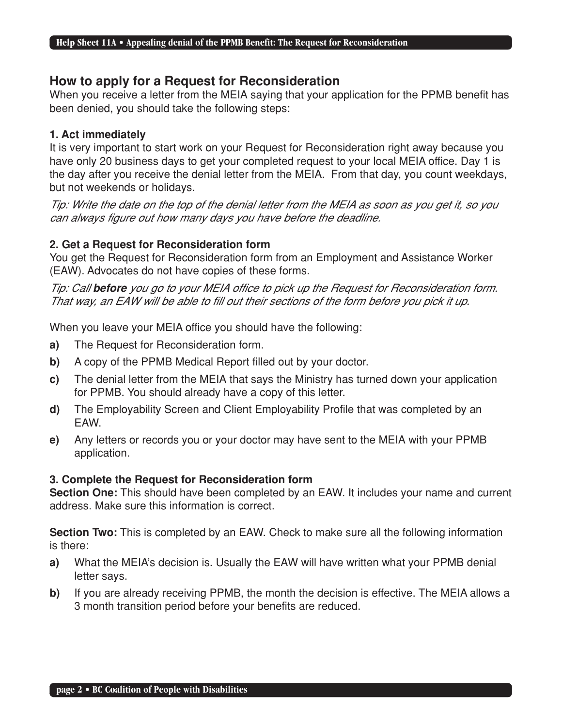#### **How to apply for a Request for Reconsideration**

When you receive a letter from the MEIA saying that your application for the PPMB benefit has been denied, you should take the following steps:

#### **1. Act immediately**

It is very important to start work on your Request for Reconsideration right away because you have only 20 business days to get your completed request to your local MEIA office. Day 1 is the day after you receive the denial letter from the MEIA. From that day, you count weekdays, but not weekends or holidays.

Tip: Write the date on the top of the denial letter from the MEIA as soon as you get it, so you can always figure out how many days you have before the deadline.

#### **2. Get a Request for Reconsideration form**

You get the Request for Reconsideration form from an Employment and Assistance Worker (EAW). Advocates do not have copies of these forms.

Tip: Call **before** you go to your MEIA office to pick up the Request for Reconsideration form. That way, an EAW will be able to fill out their sections of the form before you pick it up.

When you leave your MEIA office you should have the following:

- **a)** The Request for Reconsideration form.
- **b)** A copy of the PPMB Medical Report filled out by your doctor.
- **c)** The denial letter from the MEIA that says the Ministry has turned down your application for PPMB. You should already have a copy of this letter.
- **d)** The Employability Screen and Client Employability Profile that was completed by an EAW.
- **e)** Any letters or records you or your doctor may have sent to the MEIA with your PPMB application.

#### **3. Complete the Request for Reconsideration form**

**Section One:** This should have been completed by an EAW. It includes your name and current address. Make sure this information is correct.

**Section Two:** This is completed by an EAW. Check to make sure all the following information is there:

- **a)** What the MEIA's decision is. Usually the EAW will have written what your PPMB denial letter says.
- **b)** If you are already receiving PPMB, the month the decision is effective. The MEIA allows a 3 month transition period before your benefits are reduced.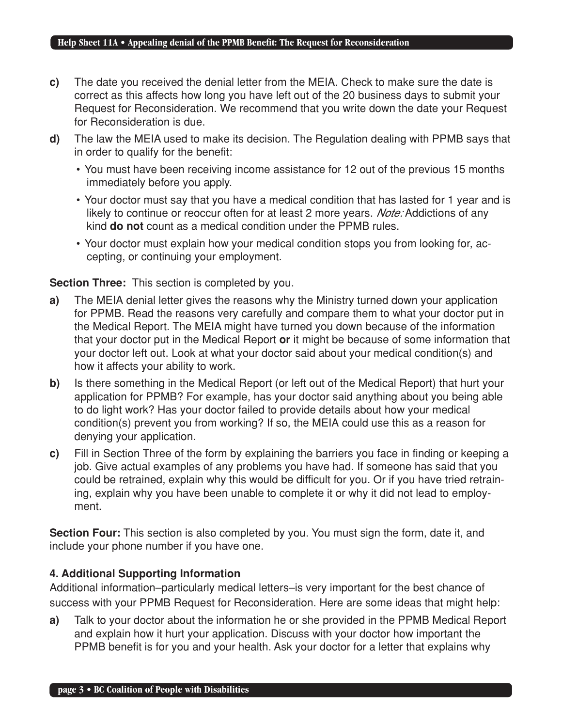- **c)** The date you received the denial letter from the MEIA. Check to make sure the date is correct as this affects how long you have left out of the 20 business days to submit your Request for Reconsideration. We recommend that you write down the date your Request for Reconsideration is due.
- **d)** The law the MEIA used to make its decision. The Regulation dealing with PPMB says that in order to qualify for the benefit:
	- You must have been receiving income assistance for 12 out of the previous 15 months immediately before you apply.
	- Your doctor must say that you have a medical condition that has lasted for 1 year and is likely to continue or reoccur often for at least 2 more years. Note: Addictions of any kind **do not** count as a medical condition under the PPMB rules.
	- Your doctor must explain how your medical condition stops you from looking for, accepting, or continuing your employment.

#### **Section Three:** This section is completed by you.

- **a)** The MEIA denial letter gives the reasons why the Ministry turned down your application for PPMB. Read the reasons very carefully and compare them to what your doctor put in the Medical Report. The MEIA might have turned you down because of the information that your doctor put in the Medical Report **or** it might be because of some information that your doctor left out. Look at what your doctor said about your medical condition(s) and how it affects your ability to work.
- **b)** Is there something in the Medical Report (or left out of the Medical Report) that hurt your application for PPMB? For example, has your doctor said anything about you being able to do light work? Has your doctor failed to provide details about how your medical condition(s) prevent you from working? If so, the MEIA could use this as a reason for denying your application.
- **c)** Fill in Section Three of the form by explaining the barriers you face in finding or keeping a job. Give actual examples of any problems you have had. If someone has said that you could be retrained, explain why this would be difficult for you. Or if you have tried retraining, explain why you have been unable to complete it or why it did not lead to employment.

**Section Four:** This section is also completed by you. You must sign the form, date it, and include your phone number if you have one.

#### **4. Additional Supporting Information**

Additional information–particularly medical letters–is very important for the best chance of success with your PPMB Request for Reconsideration. Here are some ideas that might help:

**a)** Talk to your doctor about the information he or she provided in the PPMB Medical Report and explain how it hurt your application. Discuss with your doctor how important the PPMB benefit is for you and your health. Ask your doctor for a letter that explains why